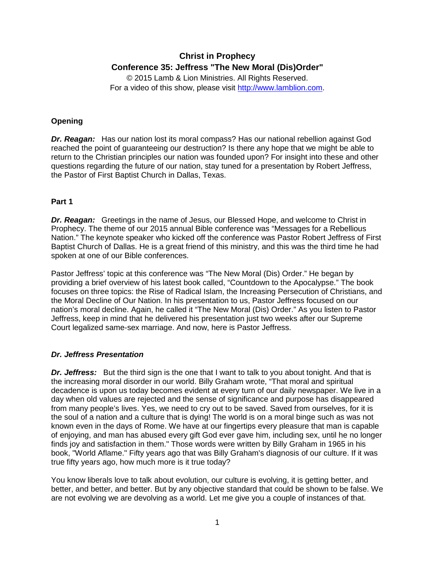# **Christ in Prophecy Conference 35: Jeffress "The New Moral (Dis)Order"**

© 2015 Lamb & Lion Ministries. All Rights Reserved. For a video of this show, please visit [http://www.lamblion.com.](http://www.lamblion.com/)

## **Opening**

*Dr. Reagan:* Has our nation lost its moral compass? Has our national rebellion against God reached the point of guaranteeing our destruction? Is there any hope that we might be able to return to the Christian principles our nation was founded upon? For insight into these and other questions regarding the future of our nation, stay tuned for a presentation by Robert Jeffress, the Pastor of First Baptist Church in Dallas, Texas.

## **Part 1**

*Dr. Reagan:* Greetings in the name of Jesus, our Blessed Hope, and welcome to Christ in Prophecy. The theme of our 2015 annual Bible conference was "Messages for a Rebellious Nation." The keynote speaker who kicked off the conference was Pastor Robert Jeffress of First Baptist Church of Dallas. He is a great friend of this ministry, and this was the third time he had spoken at one of our Bible conferences.

Pastor Jeffress' topic at this conference was "The New Moral (Dis) Order." He began by providing a brief overview of his latest book called, "Countdown to the Apocalypse." The book focuses on three topics: the Rise of Radical Islam, the Increasing Persecution of Christians, and the Moral Decline of Our Nation. In his presentation to us, Pastor Jeffress focused on our nation's moral decline. Again, he called it "The New Moral (Dis) Order." As you listen to Pastor Jeffress, keep in mind that he delivered his presentation just two weeks after our Supreme Court legalized same-sex marriage. And now, here is Pastor Jeffress.

#### *Dr. Jeffress Presentation*

*Dr. Jeffress:* But the third sign is the one that I want to talk to you about tonight. And that is the increasing moral disorder in our world. Billy Graham wrote, "That moral and spiritual decadence is upon us today becomes evident at every turn of our daily newspaper. We live in a day when old values are rejected and the sense of significance and purpose has disappeared from many people's lives. Yes, we need to cry out to be saved. Saved from ourselves, for it is the soul of a nation and a culture that is dying! The world is on a moral binge such as was not known even in the days of Rome. We have at our fingertips every pleasure that man is capable of enjoying, and man has abused every gift God ever gave him, including sex, until he no longer finds joy and satisfaction in them." Those words were written by Billy Graham in 1965 in his book, "World Aflame." Fifty years ago that was Billy Graham's diagnosis of our culture. If it was true fifty years ago, how much more is it true today?

You know liberals love to talk about evolution, our culture is evolving, it is getting better, and better, and better, and better. But by any objective standard that could be shown to be false. We are not evolving we are devolving as a world. Let me give you a couple of instances of that.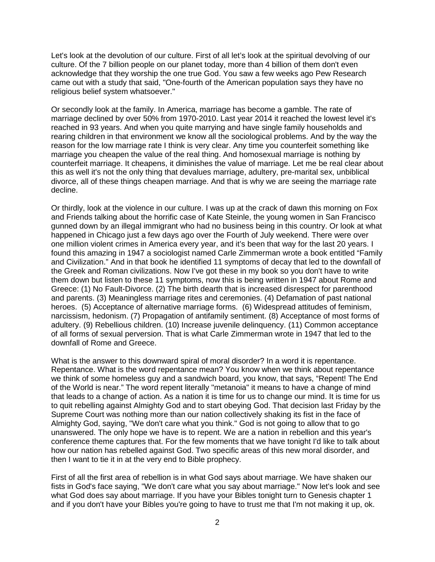Let's look at the devolution of our culture. First of all let's look at the spiritual devolving of our culture. Of the 7 billion people on our planet today, more than 4 billion of them don't even acknowledge that they worship the one true God. You saw a few weeks ago Pew Research came out with a study that said, "One-fourth of the American population says they have no religious belief system whatsoever."

Or secondly look at the family. In America, marriage has become a gamble. The rate of marriage declined by over 50% from 1970-2010. Last year 2014 it reached the lowest level it's reached in 93 years. And when you quite marrying and have single family households and rearing children in that environment we know all the sociological problems. And by the way the reason for the low marriage rate I think is very clear. Any time you counterfeit something like marriage you cheapen the value of the real thing. And homosexual marriage is nothing by counterfeit marriage. It cheapens, it diminishes the value of marriage. Let me be real clear about this as well it's not the only thing that devalues marriage, adultery, pre-marital sex, unbiblical divorce, all of these things cheapen marriage. And that is why we are seeing the marriage rate decline.

Or thirdly, look at the violence in our culture. I was up at the crack of dawn this morning on Fox and Friends talking about the horrific case of Kate Steinle, the young women in San Francisco gunned down by an illegal immigrant who had no business being in this country. Or look at what happened in Chicago just a few days ago over the Fourth of July weekend. There were over one million violent crimes in America every year, and it's been that way for the last 20 years. I found this amazing in 1947 a sociologist named Carle Zimmerman wrote a book entitled "Family and Civilization." And in that book he identified 11 symptoms of decay that led to the downfall of the Greek and Roman civilizations. Now I've got these in my book so you don't have to write them down but listen to these 11 symptoms, now this is being written in 1947 about Rome and Greece: (1) No Fault-Divorce. (2) The birth dearth that is increased disrespect for parenthood and parents. (3) Meaningless marriage rites and ceremonies. (4) Defamation of past national heroes. (5) Acceptance of alternative marriage forms. (6) Widespread attitudes of feminism, narcissism, hedonism. (7) Propagation of antifamily sentiment. (8) Acceptance of most forms of adultery. (9) Rebellious children. (10) Increase juvenile delinquency. (11) Common acceptance of all forms of sexual perversion. That is what Carle Zimmerman wrote in 1947 that led to the downfall of Rome and Greece.

What is the answer to this downward spiral of moral disorder? In a word it is repentance. Repentance. What is the word repentance mean? You know when we think about repentance we think of some homeless guy and a sandwich board, you know, that says, "Repent! The End of the World is near." The word repent literally "metanoia" it means to have a change of mind that leads to a change of action. As a nation it is time for us to change our mind. It is time for us to quit rebelling against Almighty God and to start obeying God. That decision last Friday by the Supreme Court was nothing more than our nation collectively shaking its fist in the face of Almighty God, saying, "We don't care what you think." God is not going to allow that to go unanswered. The only hope we have is to repent. We are a nation in rebellion and this year's conference theme captures that. For the few moments that we have tonight I'd like to talk about how our nation has rebelled against God. Two specific areas of this new moral disorder, and then I want to tie it in at the very end to Bible prophecy.

First of all the first area of rebellion is in what God says about marriage. We have shaken our fists in God's face saying, "We don't care what you say about marriage." Now let's look and see what God does say about marriage. If you have your Bibles tonight turn to Genesis chapter 1 and if you don't have your Bibles you're going to have to trust me that I'm not making it up, ok.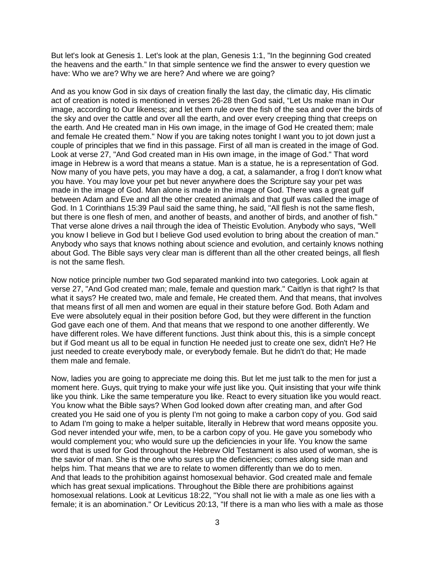But let's look at Genesis 1. Let's look at the plan, Genesis 1:1, "In the beginning God created the heavens and the earth." In that simple sentence we find the answer to every question we have: Who we are? Why we are here? And where we are going?

And as you know God in six days of creation finally the last day, the climatic day, His climatic act of creation is noted is mentioned in verses 26-28 then God said, "Let Us make man in Our image, according to Our likeness; and let them rule over the fish of the sea and over the birds of the sky and over the cattle and over all the earth, and over every creeping thing that creeps on the earth. And He created man in His own image, in the image of God He created them; male and female He created them." Now if you are taking notes tonight I want you to jot down just a couple of principles that we find in this passage. First of all man is created in the image of God. Look at verse 27, "And God created man in His own image, in the image of God." That word image in Hebrew is a word that means a statue. Man is a statue, he is a representation of God. Now many of you have pets, you may have a dog, a cat, a salamander, a frog I don't know what you have. You may love your pet but never anywhere does the Scripture say your pet was made in the image of God. Man alone is made in the image of God. There was a great gulf between Adam and Eve and all the other created animals and that gulf was called the image of God. In 1 Corinthians 15:39 Paul said the same thing, he said, "All flesh is not the same flesh, but there is one flesh of men, and another of beasts, and another of birds, and another of fish." That verse alone drives a nail through the idea of Theistic Evolution. Anybody who says, "Well you know I believe in God but I believe God used evolution to bring about the creation of man." Anybody who says that knows nothing about science and evolution, and certainly knows nothing about God. The Bible says very clear man is different than all the other created beings, all flesh is not the same flesh.

Now notice principle number two God separated mankind into two categories. Look again at verse 27, "And God created man; male, female and question mark." Caitlyn is that right? Is that what it says? He created two, male and female, He created them. And that means, that involves that means first of all men and women are equal in their stature before God. Both Adam and Eve were absolutely equal in their position before God, but they were different in the function God gave each one of them. And that means that we respond to one another differently. We have different roles. We have different functions. Just think about this, this is a simple concept but if God meant us all to be equal in function He needed just to create one sex, didn't He? He just needed to create everybody male, or everybody female. But he didn't do that; He made them male and female.

Now, ladies you are going to appreciate me doing this. But let me just talk to the men for just a moment here. Guys, quit trying to make your wife just like you. Quit insisting that your wife think like you think. Like the same temperature you like. React to every situation like you would react. You know what the Bible says? When God looked down after creating man, and after God created you He said one of you is plenty I'm not going to make a carbon copy of you. God said to Adam I'm going to make a helper suitable, literally in Hebrew that word means opposite you. God never intended your wife, men, to be a carbon copy of you. He gave you somebody who would complement you; who would sure up the deficiencies in your life. You know the same word that is used for God throughout the Hebrew Old Testament is also used of woman, she is the savior of man. She is the one who sures up the deficiencies; comes along side man and helps him. That means that we are to relate to women differently than we do to men. And that leads to the prohibition against homosexual behavior. God created male and female which has great sexual implications. Throughout the Bible there are prohibitions against homosexual relations. Look at Leviticus 18:22, "You shall not lie with a male as one lies with a female; it is an abomination." Or Leviticus 20:13, "If there is a man who lies with a male as those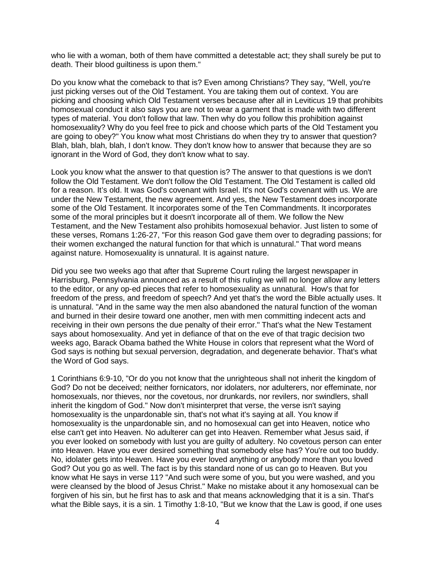who lie with a woman, both of them have committed a detestable act; they shall surely be put to death. Their blood guiltiness is upon them."

Do you know what the comeback to that is? Even among Christians? They say, "Well, you're just picking verses out of the Old Testament. You are taking them out of context. You are picking and choosing which Old Testament verses because after all in Leviticus 19 that prohibits homosexual conduct it also says you are not to wear a garment that is made with two different types of material. You don't follow that law. Then why do you follow this prohibition against homosexuality? Why do you feel free to pick and choose which parts of the Old Testament you are going to obey?" You know what most Christians do when they try to answer that question? Blah, blah, blah, blah, I don't know. They don't know how to answer that because they are so ignorant in the Word of God, they don't know what to say.

Look you know what the answer to that question is? The answer to that questions is we don't follow the Old Testament. We don't follow the Old Testament. The Old Testament is called old for a reason. It's old. It was God's covenant with Israel. It's not God's covenant with us. We are under the New Testament, the new agreement. And yes, the New Testament does incorporate some of the Old Testament. It incorporates some of the Ten Commandments. It incorporates some of the moral principles but it doesn't incorporate all of them. We follow the New Testament, and the New Testament also prohibits homosexual behavior. Just listen to some of these verses, Romans 1:26-27, "For this reason God gave them over to degrading passions; for their women exchanged the natural function for that which is unnatural." That word means against nature. Homosexuality is unnatural. It is against nature.

Did you see two weeks ago that after that Supreme Court ruling the largest newspaper in Harrisburg, Pennsylvania announced as a result of this ruling we will no longer allow any letters to the editor, or any op-ed pieces that refer to homosexuality as unnatural. How's that for freedom of the press, and freedom of speech? And yet that's the word the Bible actually uses. It is unnatural. "And in the same way the men also abandoned the natural function of the woman and burned in their desire toward one another, men with men committing indecent acts and receiving in their own persons the due penalty of their error." That's what the New Testament says about homosexuality. And yet in defiance of that on the eve of that tragic decision two weeks ago, Barack Obama bathed the White House in colors that represent what the Word of God says is nothing but sexual perversion, degradation, and degenerate behavior. That's what the Word of God says.

1 Corinthians 6:9-10, "Or do you not know that the unrighteous shall not inherit the kingdom of God? Do not be deceived; neither fornicators, nor idolaters, nor adulterers, nor effeminate, nor homosexuals, nor thieves, nor the covetous, nor drunkards, nor revilers, nor swindlers, shall inherit the kingdom of God." Now don't misinterpret that verse, the verse isn't saying homosexuality is the unpardonable sin, that's not what it's saying at all. You know if homosexuality is the unpardonable sin, and no homosexual can get into Heaven, notice who else can't get into Heaven. No adulterer can get into Heaven. Remember what Jesus said, if you ever looked on somebody with lust you are guilty of adultery. No covetous person can enter into Heaven. Have you ever desired something that somebody else has? You're out too buddy. No, idolater gets into Heaven. Have you ever loved anything or anybody more than you loved God? Out you go as well. The fact is by this standard none of us can go to Heaven. But you know what He says in verse 11? "And such were some of you, but you were washed, and you were cleansed by the blood of Jesus Christ." Make no mistake about it any homosexual can be forgiven of his sin, but he first has to ask and that means acknowledging that it is a sin. That's what the Bible says, it is a sin. 1 Timothy 1:8-10, "But we know that the Law is good, if one uses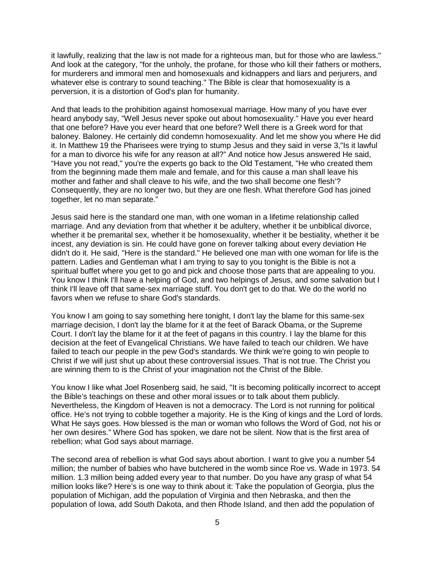it lawfully, realizing that the law is not made for a righteous man, but for those who are lawless." And look at the category, "for the unholy, the profane, for those who kill their fathers or mothers, for murderers and immoral men and homosexuals and kidnappers and liars and perjurers, and whatever else is contrary to sound teaching." The Bible is clear that homosexuality is a perversion, it is a distortion of God's plan for humanity.

And that leads to the prohibition against homosexual marriage. How many of you have ever heard anybody say, "Well Jesus never spoke out about homosexuality." Have you ever heard that one before? Have you ever heard that one before? Well there is a Greek word for that baloney. Baloney. He certainly did condemn homosexuality. And let me show you where He did it. In Matthew 19 the Pharisees were trying to stump Jesus and they said in verse 3,"Is it lawful for a man to divorce his wife for any reason at all?" And notice how Jesus answered He said, "Have you not read," you're the experts go back to the Old Testament, "He who created them from the beginning made them male and female, and for this cause a man shall leave his mother and father and shall cleave to his wife, and the two shall become one flesh'? Consequently, they are no longer two, but they are one flesh. What therefore God has joined together, let no man separate."

Jesus said here is the standard one man, with one woman in a lifetime relationship called marriage. And any deviation from that whether it be adultery, whether it be unbiblical divorce, whether it be premarital sex, whether it be homosexuality, whether it be bestiality, whether it be incest, any deviation is sin. He could have gone on forever talking about every deviation He didn't do it. He said, "Here is the standard." He believed one man with one woman for life is the pattern. Ladies and Gentleman what I am trying to say to you tonight is the Bible is not a spiritual buffet where you get to go and pick and choose those parts that are appealing to you. You know I think I'll have a helping of God, and two helpings of Jesus, and some salvation but I think I'll leave off that same-sex marriage stuff. You don't get to do that. We do the world no favors when we refuse to share God's standards.

You know I am going to say something here tonight, I don't lay the blame for this same-sex marriage decision, I don't lay the blame for it at the feet of Barack Obama, or the Supreme Court. I don't lay the blame for it at the feet of pagans in this country. I lay the blame for this decision at the feet of Evangelical Christians. We have failed to teach our children. We have failed to teach our people in the pew God's standards. We think we're going to win people to Christ if we will just shut up about these controversial issues. That is not true. The Christ you are winning them to is the Christ of your imagination not the Christ of the Bible.

You know I like what Joel Rosenberg said, he said, "It is becoming politically incorrect to accept the Bible's teachings on these and other moral issues or to talk about them publicly. Nevertheless, the Kingdom of Heaven is not a democracy. The Lord is not running for political office. He's not trying to cobble together a majority. He is the King of kings and the Lord of lords. What He says goes. How blessed is the man or woman who follows the Word of God, not his or her own desires." Where God has spoken, we dare not be silent. Now that is the first area of rebellion; what God says about marriage.

The second area of rebellion is what God says about abortion. I want to give you a number 54 million; the number of babies who have butchered in the womb since Roe vs. Wade in 1973. 54 million. 1.3 million being added every year to that number. Do you have any grasp of what 54 million looks like? Here's is one way to think about it: Take the population of Georgia, plus the population of Michigan, add the population of Virginia and then Nebraska, and then the population of Iowa, add South Dakota, and then Rhode Island, and then add the population of